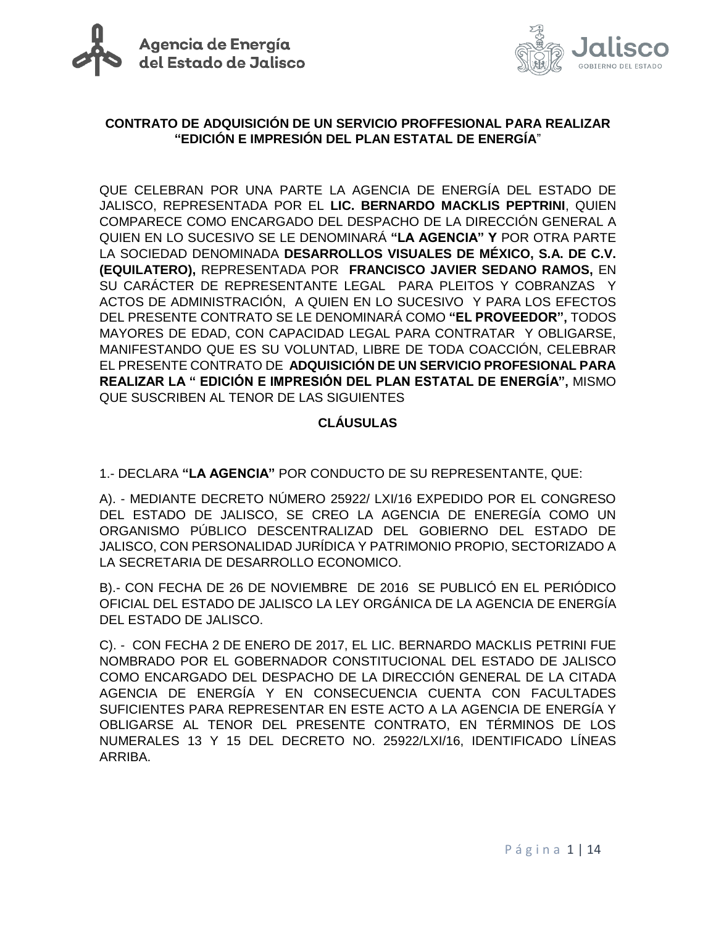



## **CONTRATO DE ADQUISICIÓN DE UN SERVICIO PROFFESIONAL PARA REALIZAR "EDICIÓN E IMPRESIÓN DEL PLAN ESTATAL DE ENERGÍA**"

QUE CELEBRAN POR UNA PARTE LA AGENCIA DE ENERGÍA DEL ESTADO DE JALISCO, REPRESENTADA POR EL **LIC. BERNARDO MACKLIS PEPTRINI**, QUIEN COMPARECE COMO ENCARGADO DEL DESPACHO DE LA DIRECCIÓN GENERAL A QUIEN EN LO SUCESIVO SE LE DENOMINARÁ **"LA AGENCIA" Y** POR OTRA PARTE LA SOCIEDAD DENOMINADA **DESARROLLOS VISUALES DE MÉXICO, S.A. DE C.V. (EQUILATERO),** REPRESENTADA POR **FRANCISCO JAVIER SEDANO RAMOS,** EN SU CARÁCTER DE REPRESENTANTE LEGAL PARA PLEITOS Y COBRANZAS Y ACTOS DE ADMINISTRACIÓN, A QUIEN EN LO SUCESIVO Y PARA LOS EFECTOS DEL PRESENTE CONTRATO SE LE DENOMINARÁ COMO **"EL PROVEEDOR",** TODOS MAYORES DE EDAD, CON CAPACIDAD LEGAL PARA CONTRATAR Y OBLIGARSE, MANIFESTANDO QUE ES SU VOLUNTAD, LIBRE DE TODA COACCIÓN, CELEBRAR EL PRESENTE CONTRATO DE **ADQUISICIÓN DE UN SERVICIO PROFESIONAL PARA REALIZAR LA " EDICIÓN E IMPRESIÓN DEL PLAN ESTATAL DE ENERGÍA",** MISMO QUE SUSCRIBEN AL TENOR DE LAS SIGUIENTES

## **CLÁUSULAS**

1.- DECLARA **"LA AGENCIA"** POR CONDUCTO DE SU REPRESENTANTE, QUE:

A). - MEDIANTE DECRETO NÚMERO 25922/ LXI/16 EXPEDIDO POR EL CONGRESO DEL ESTADO DE JALISCO, SE CREO LA AGENCIA DE ENEREGÍA COMO UN ORGANISMO PÚBLICO DESCENTRALIZAD DEL GOBIERNO DEL ESTADO DE JALISCO, CON PERSONALIDAD JURÍDICA Y PATRIMONIO PROPIO, SECTORIZADO A LA SECRETARIA DE DESARROLLO ECONOMICO.

B).- CON FECHA DE 26 DE NOVIEMBRE DE 2016 SE PUBLICÓ EN EL PERIÓDICO OFICIAL DEL ESTADO DE JALISCO LA LEY ORGÁNICA DE LA AGENCIA DE ENERGÍA DEL ESTADO DE JALISCO.

C). - CON FECHA 2 DE ENERO DE 2017, EL LIC. BERNARDO MACKLIS PETRINI FUE NOMBRADO POR EL GOBERNADOR CONSTITUCIONAL DEL ESTADO DE JALISCO COMO ENCARGADO DEL DESPACHO DE LA DIRECCIÓN GENERAL DE LA CITADA AGENCIA DE ENERGÍA Y EN CONSECUENCIA CUENTA CON FACULTADES SUFICIENTES PARA REPRESENTAR EN ESTE ACTO A LA AGENCIA DE ENERGÍA Y OBLIGARSE AL TENOR DEL PRESENTE CONTRATO, EN TÉRMINOS DE LOS NUMERALES 13 Y 15 DEL DECRETO NO. 25922/LXI/16, IDENTIFICADO LÍNEAS ARRIBA.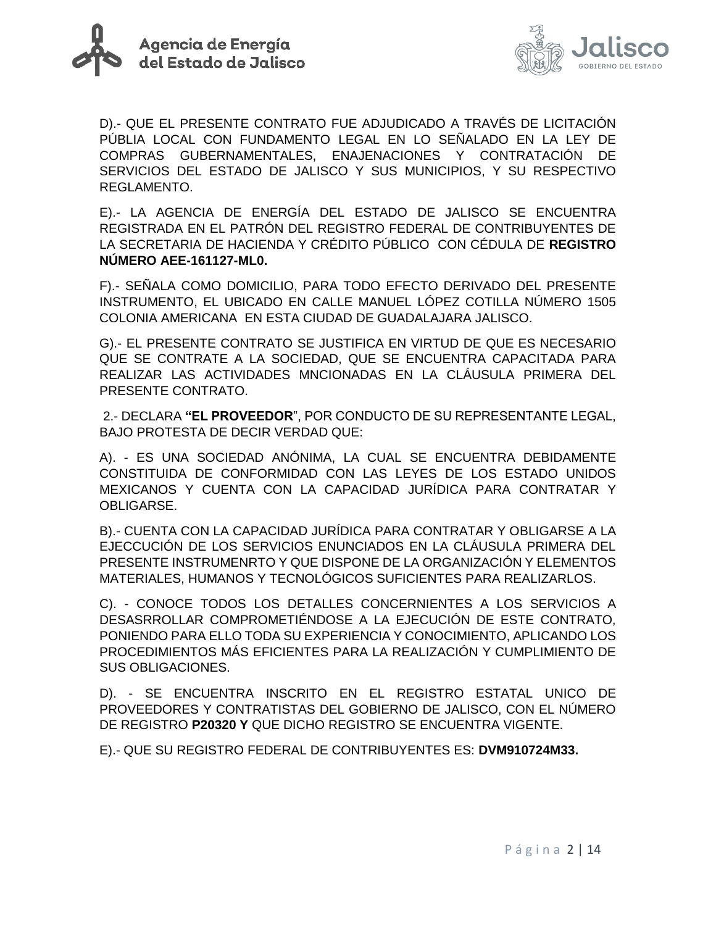



D).- QUE EL PRESENTE CONTRATO FUE ADJUDICADO A TRAVÉS DE LICITACIÓN PÚBLIA LOCAL CON FUNDAMENTO LEGAL EN LO SEÑALADO EN LA LEY DE COMPRAS GUBERNAMENTALES, ENAJENACIONES Y CONTRATACIÓN DE SERVICIOS DEL ESTADO DE JALISCO Y SUS MUNICIPIOS, Y SU RESPECTIVO REGLAMENTO.

E).- LA AGENCIA DE ENERGÍA DEL ESTADO DE JALISCO SE ENCUENTRA REGISTRADA EN EL PATRÓN DEL REGISTRO FEDERAL DE CONTRIBUYENTES DE LA SECRETARIA DE HACIENDA Y CRÉDITO PÚBLICO CON CÉDULA DE **REGISTRO NÚMERO AEE-161127-ML0.**

F).- SEÑALA COMO DOMICILIO, PARA TODO EFECTO DERIVADO DEL PRESENTE INSTRUMENTO, EL UBICADO EN CALLE MANUEL LÓPEZ COTILLA NÚMERO 1505 COLONIA AMERICANA EN ESTA CIUDAD DE GUADALAJARA JALISCO.

G).- EL PRESENTE CONTRATO SE JUSTIFICA EN VIRTUD DE QUE ES NECESARIO QUE SE CONTRATE A LA SOCIEDAD, QUE SE ENCUENTRA CAPACITADA PARA REALIZAR LAS ACTIVIDADES MNCIONADAS EN LA CLÁUSULA PRIMERA DEL PRESENTE CONTRATO.

2.- DECLARA **"EL PROVEEDOR**", POR CONDUCTO DE SU REPRESENTANTE LEGAL, BAJO PROTESTA DE DECIR VERDAD QUE:

A). - ES UNA SOCIEDAD ANÓNIMA, LA CUAL SE ENCUENTRA DEBIDAMENTE CONSTITUIDA DE CONFORMIDAD CON LAS LEYES DE LOS ESTADO UNIDOS MEXICANOS Y CUENTA CON LA CAPACIDAD JURÍDICA PARA CONTRATAR Y OBLIGARSE.

B).- CUENTA CON LA CAPACIDAD JURÍDICA PARA CONTRATAR Y OBLIGARSE A LA EJECCUCIÓN DE LOS SERVICIOS ENUNCIADOS EN LA CLÁUSULA PRIMERA DEL PRESENTE INSTRUMENRTO Y QUE DISPONE DE LA ORGANIZACIÓN Y ELEMENTOS MATERIALES, HUMANOS Y TECNOLÓGICOS SUFICIENTES PARA REALIZARLOS.

C). - CONOCE TODOS LOS DETALLES CONCERNIENTES A LOS SERVICIOS A DESASRROLLAR COMPROMETIÉNDOSE A LA EJECUCIÓN DE ESTE CONTRATO, PONIENDO PARA ELLO TODA SU EXPERIENCIA Y CONOCIMIENTO, APLICANDO LOS PROCEDIMIENTOS MÁS EFICIENTES PARA LA REALIZACIÓN Y CUMPLIMIENTO DE SUS OBLIGACIONES.

D). - SE ENCUENTRA INSCRITO EN EL REGISTRO ESTATAL UNICO DE PROVEEDORES Y CONTRATISTAS DEL GOBIERNO DE JALISCO, CON EL NÚMERO DE REGISTRO **P20320 Y** QUE DICHO REGISTRO SE ENCUENTRA VIGENTE.

E).- QUE SU REGISTRO FEDERAL DE CONTRIBUYENTES ES: **DVM910724M33.**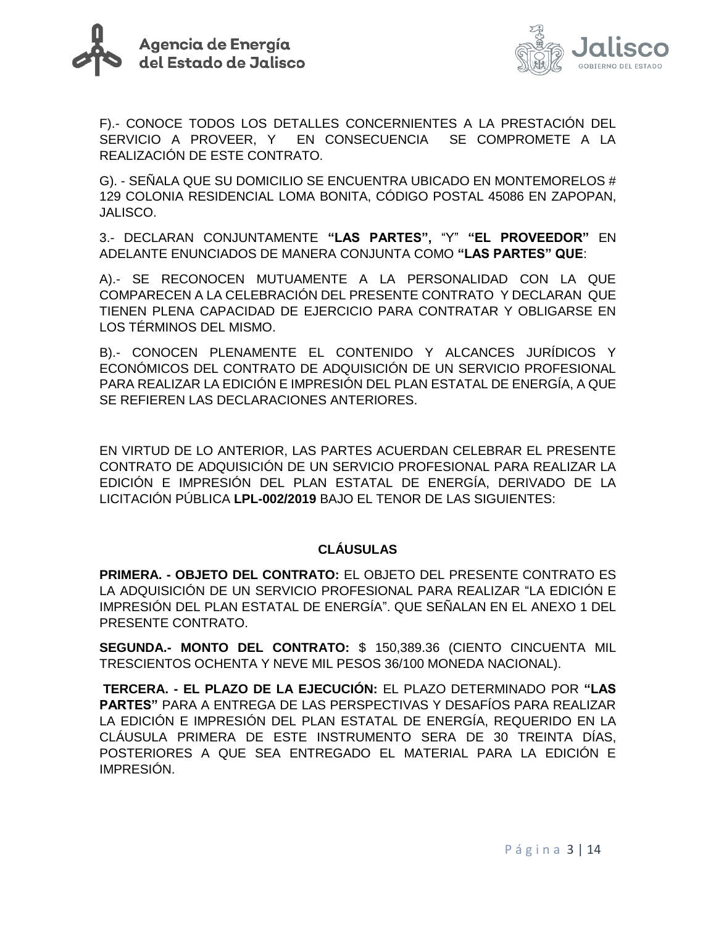



F).- CONOCE TODOS LOS DETALLES CONCERNIENTES A LA PRESTACIÓN DEL SERVICIO A PROVEER, Y EN CONSECUENCIA SE COMPROMETE A LA REALIZACIÓN DE ESTE CONTRATO.

G). - SEÑALA QUE SU DOMICILIO SE ENCUENTRA UBICADO EN MONTEMORELOS # 129 COLONIA RESIDENCIAL LOMA BONITA, CÓDIGO POSTAL 45086 EN ZAPOPAN, JALISCO.

3.- DECLARAN CONJUNTAMENTE **"LAS PARTES",** "Y" **"EL PROVEEDOR"** EN ADELANTE ENUNCIADOS DE MANERA CONJUNTA COMO **"LAS PARTES" QUE**:

A).- SE RECONOCEN MUTUAMENTE A LA PERSONALIDAD CON LA QUE COMPARECEN A LA CELEBRACIÓN DEL PRESENTE CONTRATO Y DECLARAN QUE TIENEN PLENA CAPACIDAD DE EJERCICIO PARA CONTRATAR Y OBLIGARSE EN LOS TÉRMINOS DEL MISMO.

B).- CONOCEN PLENAMENTE EL CONTENIDO Y ALCANCES JURÍDICOS Y ECONÓMICOS DEL CONTRATO DE ADQUISICIÓN DE UN SERVICIO PROFESIONAL PARA REALIZAR LA EDICIÓN E IMPRESIÓN DEL PLAN ESTATAL DE ENERGÍA, A QUE SE REFIEREN LAS DECLARACIONES ANTERIORES.

EN VIRTUD DE LO ANTERIOR, LAS PARTES ACUERDAN CELEBRAR EL PRESENTE CONTRATO DE ADQUISICIÓN DE UN SERVICIO PROFESIONAL PARA REALIZAR LA EDICIÓN E IMPRESIÓN DEL PLAN ESTATAL DE ENERGÍA, DERIVADO DE LA LICITACIÓN PÚBLICA **LPL-002/2019** BAJO EL TENOR DE LAS SIGUIENTES:

#### **CLÁUSULAS**

**PRIMERA. - OBJETO DEL CONTRATO:** EL OBJETO DEL PRESENTE CONTRATO ES LA ADQUISICIÓN DE UN SERVICIO PROFESIONAL PARA REALIZAR "LA EDICIÓN E IMPRESIÓN DEL PLAN ESTATAL DE ENERGÍA". QUE SEÑALAN EN EL ANEXO 1 DEL PRESENTE CONTRATO.

**SEGUNDA.- MONTO DEL CONTRATO:** \$ 150,389.36 (CIENTO CINCUENTA MIL TRESCIENTOS OCHENTA Y NEVE MIL PESOS 36/100 MONEDA NACIONAL).

**TERCERA. - EL PLAZO DE LA EJECUCIÓN:** EL PLAZO DETERMINADO POR **"LAS PARTES"** PARA A ENTREGA DE LAS PERSPECTIVAS Y DESAFÍOS PARA REALIZAR LA EDICIÓN E IMPRESIÓN DEL PLAN ESTATAL DE ENERGÍA, REQUERIDO EN LA CLÁUSULA PRIMERA DE ESTE INSTRUMENTO SERA DE 30 TREINTA DÍAS, POSTERIORES A QUE SEA ENTREGADO EL MATERIAL PARA LA EDICIÓN E IMPRESIÓN.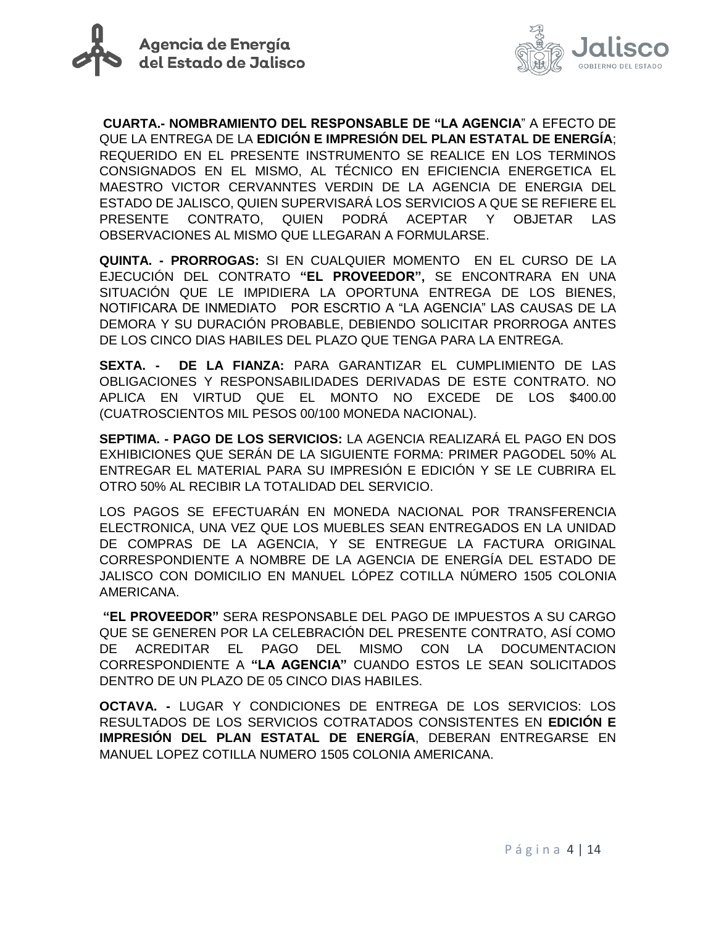



**CUARTA.- NOMBRAMIENTO DEL RESPONSABLE DE "LA AGENCIA**" A EFECTO DE QUE LA ENTREGA DE LA **EDICIÓN E IMPRESIÓN DEL PLAN ESTATAL DE ENERGÍA**; REQUERIDO EN EL PRESENTE INSTRUMENTO SE REALICE EN LOS TERMINOS CONSIGNADOS EN EL MISMO, AL TÉCNICO EN EFICIENCIA ENERGETICA EL MAESTRO VICTOR CERVANNTES VERDIN DE LA AGENCIA DE ENERGIA DEL ESTADO DE JALISCO, QUIEN SUPERVISARÁ LOS SERVICIOS A QUE SE REFIERE EL PRESENTE CONTRATO, QUIEN PODRÁ ACEPTAR Y OBJETAR LAS OBSERVACIONES AL MISMO QUE LLEGARAN A FORMULARSE.

**QUINTA. - PRORROGAS:** SI EN CUALQUIER MOMENTO EN EL CURSO DE LA EJECUCIÓN DEL CONTRATO **"EL PROVEEDOR",** SE ENCONTRARA EN UNA SITUACIÓN QUE LE IMPIDIERA LA OPORTUNA ENTREGA DE LOS BIENES, NOTIFICARA DE INMEDIATO POR ESCRTIO A "LA AGENCIA" LAS CAUSAS DE LA DEMORA Y SU DURACIÓN PROBABLE, DEBIENDO SOLICITAR PRORROGA ANTES DE LOS CINCO DIAS HABILES DEL PLAZO QUE TENGA PARA LA ENTREGA.

**SEXTA. - DE LA FIANZA:** PARA GARANTIZAR EL CUMPLIMIENTO DE LAS OBLIGACIONES Y RESPONSABILIDADES DERIVADAS DE ESTE CONTRATO. NO APLICA EN VIRTUD QUE EL MONTO NO EXCEDE DE LOS \$400.00 (CUATROSCIENTOS MIL PESOS 00/100 MONEDA NACIONAL).

**SEPTIMA. - PAGO DE LOS SERVICIOS:** LA AGENCIA REALIZARÁ EL PAGO EN DOS EXHIBICIONES QUE SERÁN DE LA SIGUIENTE FORMA: PRIMER PAGODEL 50% AL ENTREGAR EL MATERIAL PARA SU IMPRESIÓN E EDICIÓN Y SE LE CUBRIRA EL OTRO 50% AL RECIBIR LA TOTALIDAD DEL SERVICIO.

LOS PAGOS SE EFECTUARÁN EN MONEDA NACIONAL POR TRANSFERENCIA ELECTRONICA, UNA VEZ QUE LOS MUEBLES SEAN ENTREGADOS EN LA UNIDAD DE COMPRAS DE LA AGENCIA, Y SE ENTREGUE LA FACTURA ORIGINAL CORRESPONDIENTE A NOMBRE DE LA AGENCIA DE ENERGÍA DEL ESTADO DE JALISCO CON DOMICILIO EN MANUEL LÓPEZ COTILLA NÚMERO 1505 COLONIA AMERICANA.

**"EL PROVEEDOR"** SERA RESPONSABLE DEL PAGO DE IMPUESTOS A SU CARGO QUE SE GENEREN POR LA CELEBRACIÓN DEL PRESENTE CONTRATO, ASÍ COMO DE ACREDITAR EL PAGO DEL MISMO CON LA DOCUMENTACION CORRESPONDIENTE A **"LA AGENCIA"** CUANDO ESTOS LE SEAN SOLICITADOS DENTRO DE UN PLAZO DE 05 CINCO DIAS HABILES.

**OCTAVA. -** LUGAR Y CONDICIONES DE ENTREGA DE LOS SERVICIOS: LOS RESULTADOS DE LOS SERVICIOS COTRATADOS CONSISTENTES EN **EDICIÓN E IMPRESIÓN DEL PLAN ESTATAL DE ENERGÍA**, DEBERAN ENTREGARSE EN MANUEL LOPEZ COTILLA NUMERO 1505 COLONIA AMERICANA.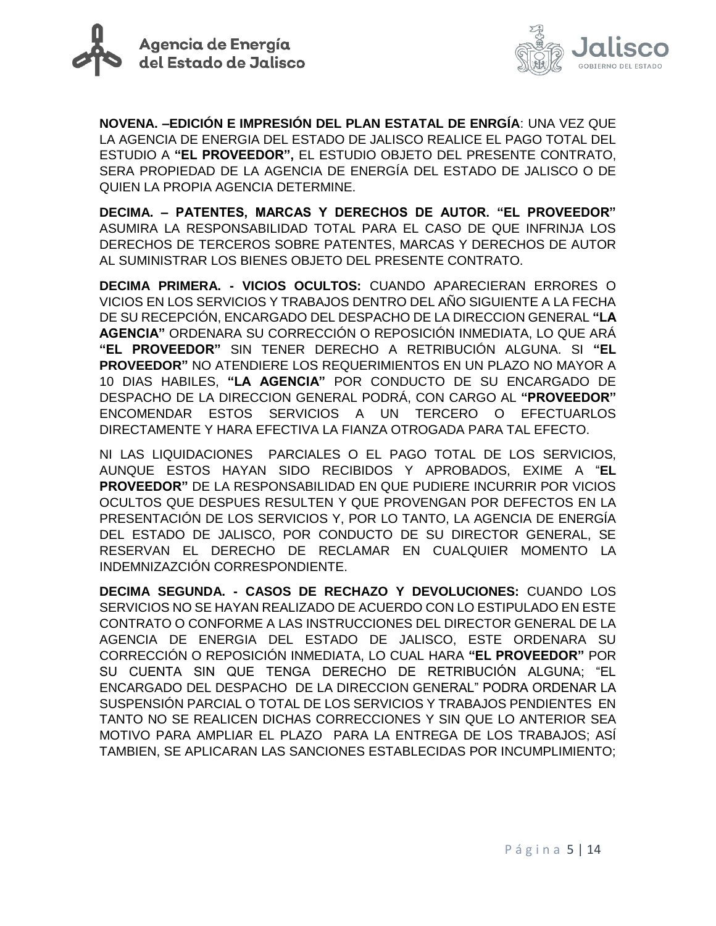



**NOVENA. –EDICIÓN E IMPRESIÓN DEL PLAN ESTATAL DE ENRGÍA**: UNA VEZ QUE LA AGENCIA DE ENERGIA DEL ESTADO DE JALISCO REALICE EL PAGO TOTAL DEL ESTUDIO A **"EL PROVEEDOR",** EL ESTUDIO OBJETO DEL PRESENTE CONTRATO, SERA PROPIEDAD DE LA AGENCIA DE ENERGÍA DEL ESTADO DE JALISCO O DE QUIEN LA PROPIA AGENCIA DETERMINE.

**DECIMA. – PATENTES, MARCAS Y DERECHOS DE AUTOR. "EL PROVEEDOR"**  ASUMIRA LA RESPONSABILIDAD TOTAL PARA EL CASO DE QUE INFRINJA LOS DERECHOS DE TERCEROS SOBRE PATENTES, MARCAS Y DERECHOS DE AUTOR AL SUMINISTRAR LOS BIENES OBJETO DEL PRESENTE CONTRATO.

**DECIMA PRIMERA. - VICIOS OCULTOS:** CUANDO APARECIERAN ERRORES O VICIOS EN LOS SERVICIOS Y TRABAJOS DENTRO DEL AÑO SIGUIENTE A LA FECHA DE SU RECEPCIÓN, ENCARGADO DEL DESPACHO DE LA DIRECCION GENERAL **"LA AGENCIA"** ORDENARA SU CORRECCIÓN O REPOSICIÓN INMEDIATA, LO QUE ARÁ **"EL PROVEEDOR"** SIN TENER DERECHO A RETRIBUCIÓN ALGUNA. SI **"EL PROVEEDOR"** NO ATENDIERE LOS REQUERIMIENTOS EN UN PLAZO NO MAYOR A 10 DIAS HABILES, **"LA AGENCIA"** POR CONDUCTO DE SU ENCARGADO DE DESPACHO DE LA DIRECCION GENERAL PODRÁ, CON CARGO AL **"PROVEEDOR"**  ENCOMENDAR ESTOS SERVICIOS A UN TERCERO O EFECTUARLOS DIRECTAMENTE Y HARA EFECTIVA LA FIANZA OTROGADA PARA TAL EFECTO.

NI LAS LIQUIDACIONES PARCIALES O EL PAGO TOTAL DE LOS SERVICIOS, AUNQUE ESTOS HAYAN SIDO RECIBIDOS Y APROBADOS, EXIME A "**EL PROVEEDOR"** DE LA RESPONSABILIDAD EN QUE PUDIERE INCURRIR POR VICIOS OCULTOS QUE DESPUES RESULTEN Y QUE PROVENGAN POR DEFECTOS EN LA PRESENTACIÓN DE LOS SERVICIOS Y, POR LO TANTO, LA AGENCIA DE ENERGÍA DEL ESTADO DE JALISCO, POR CONDUCTO DE SU DIRECTOR GENERAL, SE RESERVAN EL DERECHO DE RECLAMAR EN CUALQUIER MOMENTO LA INDEMNIZAZCIÓN CORRESPONDIENTE.

**DECIMA SEGUNDA. - CASOS DE RECHAZO Y DEVOLUCIONES:** CUANDO LOS SERVICIOS NO SE HAYAN REALIZADO DE ACUERDO CON LO ESTIPULADO EN ESTE CONTRATO O CONFORME A LAS INSTRUCCIONES DEL DIRECTOR GENERAL DE LA AGENCIA DE ENERGIA DEL ESTADO DE JALISCO, ESTE ORDENARA SU CORRECCIÓN O REPOSICIÓN INMEDIATA, LO CUAL HARA **"EL PROVEEDOR"** POR SU CUENTA SIN QUE TENGA DERECHO DE RETRIBUCIÓN ALGUNA; "EL ENCARGADO DEL DESPACHO DE LA DIRECCION GENERAL" PODRA ORDENAR LA SUSPENSIÓN PARCIAL O TOTAL DE LOS SERVICIOS Y TRABAJOS PENDIENTES EN TANTO NO SE REALICEN DICHAS CORRECCIONES Y SIN QUE LO ANTERIOR SEA MOTIVO PARA AMPLIAR EL PLAZO PARA LA ENTREGA DE LOS TRABAJOS; ASÍ TAMBIEN, SE APLICARAN LAS SANCIONES ESTABLECIDAS POR INCUMPLIMIENTO;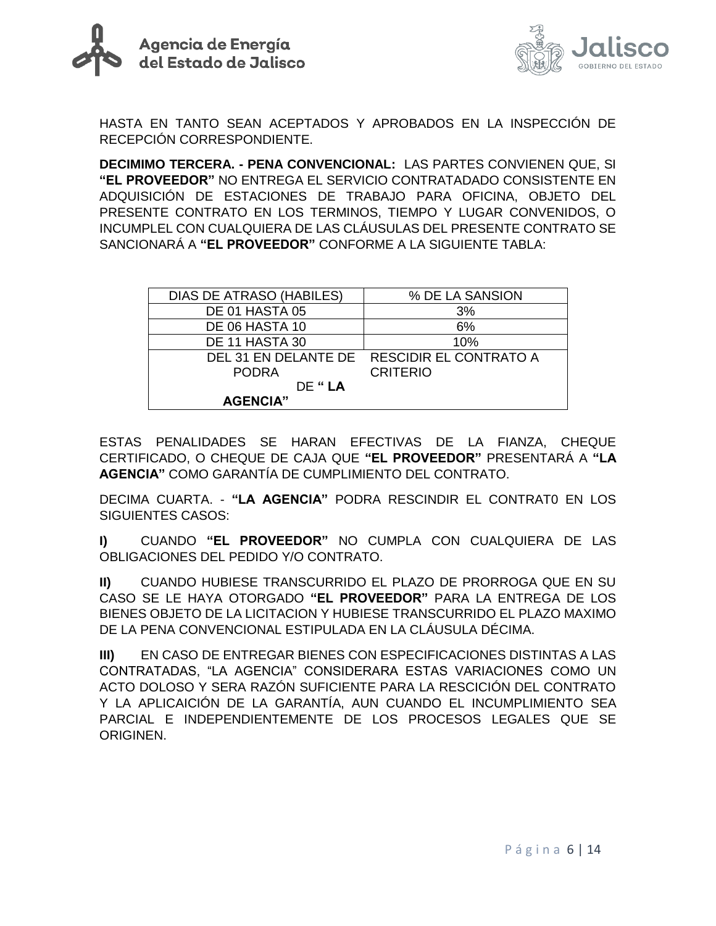



HASTA EN TANTO SEAN ACEPTADOS Y APROBADOS EN LA INSPECCIÓN DE RECEPCIÓN CORRESPONDIENTE.

**DECIMIMO TERCERA. - PENA CONVENCIONAL:** LAS PARTES CONVIENEN QUE, SI **"EL PROVEEDOR"** NO ENTREGA EL SERVICIO CONTRATADADO CONSISTENTE EN ADQUISICIÓN DE ESTACIONES DE TRABAJO PARA OFICINA, OBJETO DEL PRESENTE CONTRATO EN LOS TERMINOS, TIEMPO Y LUGAR CONVENIDOS, O INCUMPLEL CON CUALQUIERA DE LAS CLÁUSULAS DEL PRESENTE CONTRATO SE SANCIONARÁ A **"EL PROVEEDOR"** CONFORME A LA SIGUIENTE TABLA:

| <b>DIAS DE ATRASO (HABILES)</b> | % DE LA SANSION                             |  |  |
|---------------------------------|---------------------------------------------|--|--|
| DE 01 HASTA 05                  | 3%                                          |  |  |
| DE 06 HASTA 10                  | 6%                                          |  |  |
| DE 11 HASTA 30                  | 10%                                         |  |  |
|                                 | DEL 31 EN DELANTE DE RESCIDIR EL CONTRATO A |  |  |
| <b>PODRA</b>                    | <b>CRITERIO</b>                             |  |  |
| DF "LA                          |                                             |  |  |
| <b>AGENCIA"</b>                 |                                             |  |  |

ESTAS PENALIDADES SE HARAN EFECTIVAS DE LA FIANZA, CHEQUE CERTIFICADO, O CHEQUE DE CAJA QUE **"EL PROVEEDOR"** PRESENTARÁ A **"LA AGENCIA"** COMO GARANTÍA DE CUMPLIMIENTO DEL CONTRATO.

DECIMA CUARTA. - **"LA AGENCIA"** PODRA RESCINDIR EL CONTRAT0 EN LOS SIGUIENTES CASOS:

**I)** CUANDO **"EL PROVEEDOR"** NO CUMPLA CON CUALQUIERA DE LAS OBLIGACIONES DEL PEDIDO Y/O CONTRATO.

**II)** CUANDO HUBIESE TRANSCURRIDO EL PLAZO DE PRORROGA QUE EN SU CASO SE LE HAYA OTORGADO **"EL PROVEEDOR"** PARA LA ENTREGA DE LOS BIENES OBJETO DE LA LICITACION Y HUBIESE TRANSCURRIDO EL PLAZO MAXIMO DE LA PENA CONVENCIONAL ESTIPULADA EN LA CLÁUSULA DÉCIMA.

**III)** EN CASO DE ENTREGAR BIENES CON ESPECIFICACIONES DISTINTAS A LAS CONTRATADAS, "LA AGENCIA" CONSIDERARA ESTAS VARIACIONES COMO UN ACTO DOLOSO Y SERA RAZÓN SUFICIENTE PARA LA RESCICIÓN DEL CONTRATO Y LA APLICAICIÓN DE LA GARANTÍA, AUN CUANDO EL INCUMPLIMIENTO SEA PARCIAL E INDEPENDIENTEMENTE DE LOS PROCESOS LEGALES QUE SE ORIGINEN.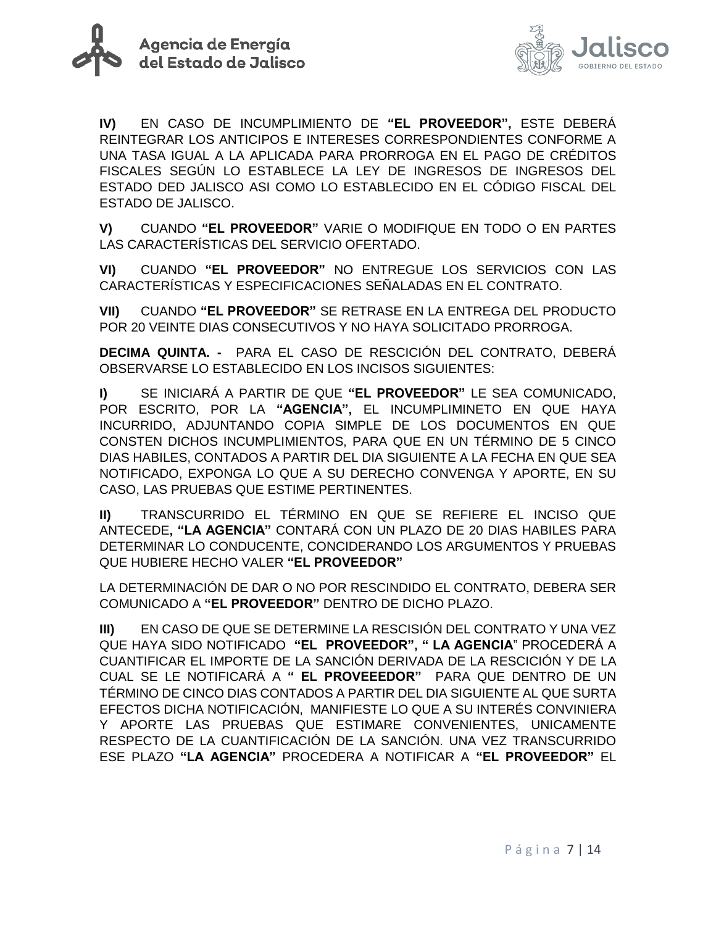



**IV)** EN CASO DE INCUMPLIMIENTO DE **"EL PROVEEDOR",** ESTE DEBERÁ REINTEGRAR LOS ANTICIPOS E INTERESES CORRESPONDIENTES CONFORME A UNA TASA IGUAL A LA APLICADA PARA PRORROGA EN EL PAGO DE CRÉDITOS FISCALES SEGÚN LO ESTABLECE LA LEY DE INGRESOS DE INGRESOS DEL ESTADO DED JALISCO ASI COMO LO ESTABLECIDO EN EL CÓDIGO FISCAL DEL ESTADO DE JALISCO.

**V)** CUANDO **"EL PROVEEDOR"** VARIE O MODIFIQUE EN TODO O EN PARTES LAS CARACTERÍSTICAS DEL SERVICIO OFERTADO.

**VI)** CUANDO **"EL PROVEEDOR"** NO ENTREGUE LOS SERVICIOS CON LAS CARACTERÍSTICAS Y ESPECIFICACIONES SEÑALADAS EN EL CONTRATO.

**VII)** CUANDO **"EL PROVEEDOR"** SE RETRASE EN LA ENTREGA DEL PRODUCTO POR 20 VEINTE DIAS CONSECUTIVOS Y NO HAYA SOLICITADO PRORROGA.

**DECIMA QUINTA. -** PARA EL CASO DE RESCICIÓN DEL CONTRATO, DEBERÁ OBSERVARSE LO ESTABLECIDO EN LOS INCISOS SIGUIENTES:

**I)** SE INICIARÁ A PARTIR DE QUE **"EL PROVEEDOR"** LE SEA COMUNICADO, POR ESCRITO, POR LA **"AGENCIA",** EL INCUMPLIMINETO EN QUE HAYA INCURRIDO, ADJUNTANDO COPIA SIMPLE DE LOS DOCUMENTOS EN QUE CONSTEN DICHOS INCUMPLIMIENTOS, PARA QUE EN UN TÉRMINO DE 5 CINCO DIAS HABILES, CONTADOS A PARTIR DEL DIA SIGUIENTE A LA FECHA EN QUE SEA NOTIFICADO, EXPONGA LO QUE A SU DERECHO CONVENGA Y APORTE, EN SU CASO, LAS PRUEBAS QUE ESTIME PERTINENTES.

**II)** TRANSCURRIDO EL TÉRMINO EN QUE SE REFIERE EL INCISO QUE ANTECEDE**, "LA AGENCIA"** CONTARÁ CON UN PLAZO DE 20 DIAS HABILES PARA DETERMINAR LO CONDUCENTE, CONCIDERANDO LOS ARGUMENTOS Y PRUEBAS QUE HUBIERE HECHO VALER **"EL PROVEEDOR"**

LA DETERMINACIÓN DE DAR O NO POR RESCINDIDO EL CONTRATO, DEBERA SER COMUNICADO A **"EL PROVEEDOR"** DENTRO DE DICHO PLAZO.

**III)** EN CASO DE QUE SE DETERMINE LA RESCISIÓN DEL CONTRATO Y UNA VEZ QUE HAYA SIDO NOTIFICADO **"EL PROVEEDOR", " LA AGENCIA**" PROCEDERÁ A CUANTIFICAR EL IMPORTE DE LA SANCIÓN DERIVADA DE LA RESCICIÓN Y DE LA CUAL SE LE NOTIFICARÁ A **" EL PROVEEEDOR"** PARA QUE DENTRO DE UN TÉRMINO DE CINCO DIAS CONTADOS A PARTIR DEL DIA SIGUIENTE AL QUE SURTA EFECTOS DICHA NOTIFICACIÓN, MANIFIESTE LO QUE A SU INTERÉS CONVINIERA Y APORTE LAS PRUEBAS QUE ESTIMARE CONVENIENTES, UNICAMENTE RESPECTO DE LA CUANTIFICACIÓN DE LA SANCIÓN. UNA VEZ TRANSCURRIDO ESE PLAZO **"LA AGENCIA"** PROCEDERA A NOTIFICAR A **"EL PROVEEDOR"** EL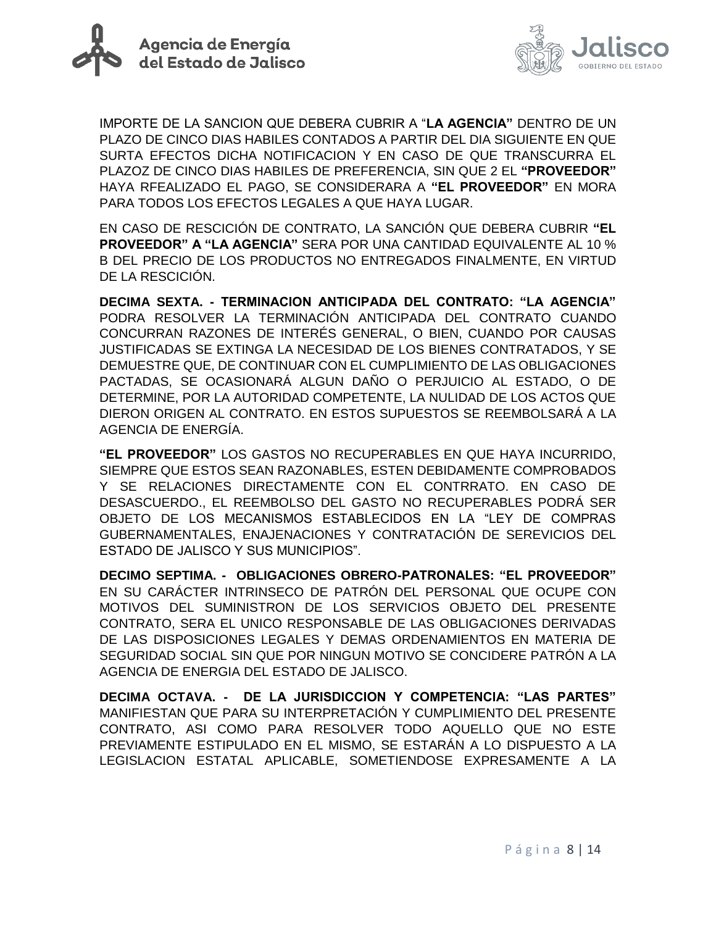



IMPORTE DE LA SANCION QUE DEBERA CUBRIR A "**LA AGENCIA"** DENTRO DE UN PLAZO DE CINCO DIAS HABILES CONTADOS A PARTIR DEL DIA SIGUIENTE EN QUE SURTA EFECTOS DICHA NOTIFICACION Y EN CASO DE QUE TRANSCURRA EL PLAZOZ DE CINCO DIAS HABILES DE PREFERENCIA, SIN QUE 2 EL **"PROVEEDOR"** HAYA RFEALIZADO EL PAGO, SE CONSIDERARA A **"EL PROVEEDOR"** EN MORA PARA TODOS LOS EFECTOS LEGALES A QUE HAYA LUGAR.

EN CASO DE RESCICIÓN DE CONTRATO, LA SANCIÓN QUE DEBERA CUBRIR **"EL PROVEEDOR" A "LA AGENCIA"** SERA POR UNA CANTIDAD EQUIVALENTE AL 10 % B DEL PRECIO DE LOS PRODUCTOS NO ENTREGADOS FINALMENTE, EN VIRTUD DE LA RESCICIÓN.

**DECIMA SEXTA. - TERMINACION ANTICIPADA DEL CONTRATO: "LA AGENCIA"** PODRA RESOLVER LA TERMINACIÓN ANTICIPADA DEL CONTRATO CUANDO CONCURRAN RAZONES DE INTERÉS GENERAL, O BIEN, CUANDO POR CAUSAS JUSTIFICADAS SE EXTINGA LA NECESIDAD DE LOS BIENES CONTRATADOS, Y SE DEMUESTRE QUE, DE CONTINUAR CON EL CUMPLIMIENTO DE LAS OBLIGACIONES PACTADAS, SE OCASIONARÁ ALGUN DAÑO O PERJUICIO AL ESTADO, O DE DETERMINE, POR LA AUTORIDAD COMPETENTE, LA NULIDAD DE LOS ACTOS QUE DIERON ORIGEN AL CONTRATO. EN ESTOS SUPUESTOS SE REEMBOLSARÁ A LA AGENCIA DE ENERGÍA.

**"EL PROVEEDOR"** LOS GASTOS NO RECUPERABLES EN QUE HAYA INCURRIDO, SIEMPRE QUE ESTOS SEAN RAZONABLES, ESTEN DEBIDAMENTE COMPROBADOS Y SE RELACIONES DIRECTAMENTE CON EL CONTRRATO. EN CASO DE DESASCUERDO., EL REEMBOLSO DEL GASTO NO RECUPERABLES PODRÁ SER OBJETO DE LOS MECANISMOS ESTABLECIDOS EN LA "LEY DE COMPRAS GUBERNAMENTALES, ENAJENACIONES Y CONTRATACIÓN DE SEREVICIOS DEL ESTADO DE JALISCO Y SUS MUNICIPIOS".

**DECIMO SEPTIMA. - OBLIGACIONES OBRERO-PATRONALES: "EL PROVEEDOR"** EN SU CARÁCTER INTRINSECO DE PATRÓN DEL PERSONAL QUE OCUPE CON MOTIVOS DEL SUMINISTRON DE LOS SERVICIOS OBJETO DEL PRESENTE CONTRATO, SERA EL UNICO RESPONSABLE DE LAS OBLIGACIONES DERIVADAS DE LAS DISPOSICIONES LEGALES Y DEMAS ORDENAMIENTOS EN MATERIA DE SEGURIDAD SOCIAL SIN QUE POR NINGUN MOTIVO SE CONCIDERE PATRÓN A LA AGENCIA DE ENERGIA DEL ESTADO DE JALISCO.

**DECIMA OCTAVA. - DE LA JURISDICCION Y COMPETENCIA: "LAS PARTES"** MANIFIESTAN QUE PARA SU INTERPRETACIÓN Y CUMPLIMIENTO DEL PRESENTE CONTRATO, ASI COMO PARA RESOLVER TODO AQUELLO QUE NO ESTE PREVIAMENTE ESTIPULADO EN EL MISMO, SE ESTARÁN A LO DISPUESTO A LA LEGISLACION ESTATAL APLICABLE, SOMETIENDOSE EXPRESAMENTE A LA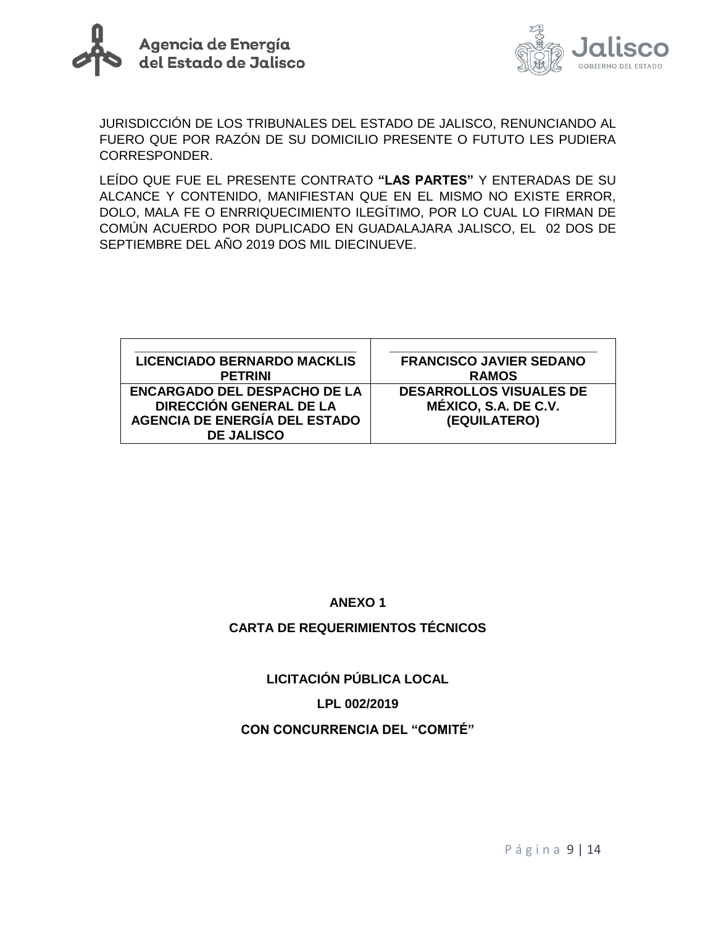



JURISDICCIÓN DE LOS TRIBUNALES DEL ESTADO DE JALISCO, RENUNCIANDO AL FUERO QUE POR RAZÓN DE SU DOMICILIO PRESENTE O FUTUTO LES PUDIERA CORRESPONDER.

LEÍDO QUE FUE EL PRESENTE CONTRATO **"LAS PARTES"** Y ENTERADAS DE SU ALCANCE Y CONTENIDO, MANIFIESTAN QUE EN EL MISMO NO EXISTE ERROR, DOLO, MALA FE O ENRRIQUECIMIENTO ILEGÍTIMO, POR LO CUAL LO FIRMAN DE COMÚN ACUERDO POR DUPLICADO EN GUADALAJARA JALISCO, EL 02 DOS DE SEPTIEMBRE DEL AÑO 2019 DOS MIL DIECINUEVE.

| <b>LICENCIADO BERNARDO MACKLIS</b>   | <b>FRANCISCO JAVIER SEDANO</b> |
|--------------------------------------|--------------------------------|
| <b>PETRINI</b>                       | <b>RAMOS</b>                   |
| <b>ENCARGADO DEL DESPACHO DE LA</b>  | <b>DESARROLLOS VISUALES DE</b> |
| DIRECCIÓN GENERAL DE LA              | MÉXICO, S.A. DE C.V.           |
| <b>AGENCIA DE ENERGÍA DEL ESTADO</b> | (EQUILATERO)                   |
| <b>DE JALISCO</b>                    |                                |

## **ANEXO 1**

#### **CARTA DE REQUERIMIENTOS TÉCNICOS**

## **LICITACIÓN PÚBLICA LOCAL**

#### **LPL 002/2019**

#### **CON CONCURRENCIA DEL "COMITÉ"**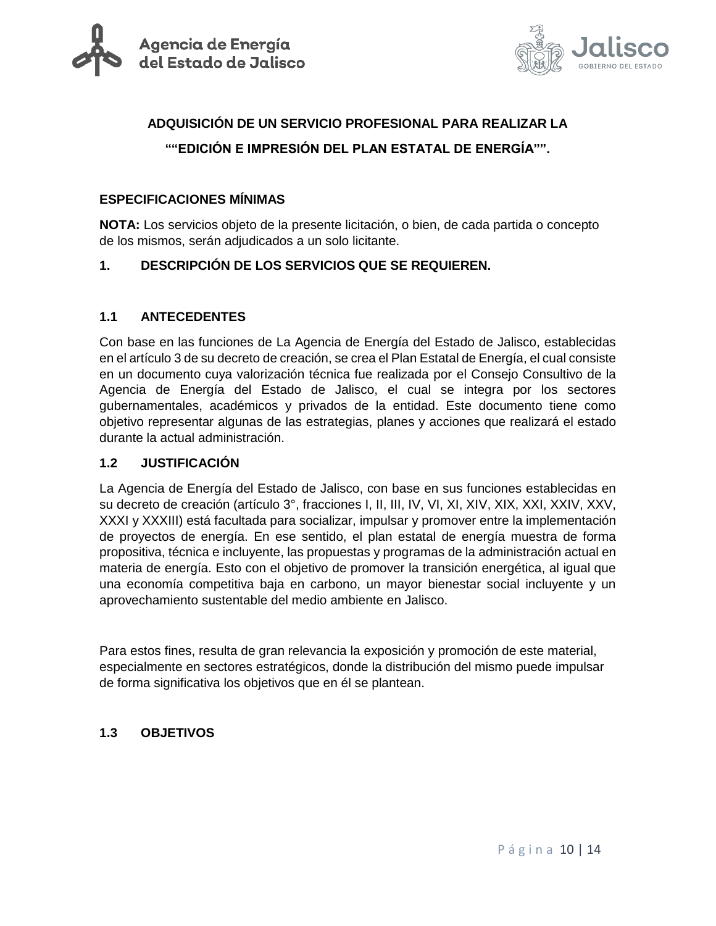



# **ADQUISICIÓN DE UN SERVICIO PROFESIONAL PARA REALIZAR LA ""EDICIÓN E IMPRESIÓN DEL PLAN ESTATAL DE ENERGÍA"".**

#### **ESPECIFICACIONES MÍNIMAS**

**NOTA:** Los servicios objeto de la presente licitación, o bien, de cada partida o concepto de los mismos, serán adjudicados a un solo licitante.

#### **1. DESCRIPCIÓN DE LOS SERVICIOS QUE SE REQUIEREN.**

#### **1.1 ANTECEDENTES**

Con base en las funciones de La Agencia de Energía del Estado de Jalisco, establecidas en el artículo 3 de su decreto de creación, se crea el Plan Estatal de Energía, el cual consiste en un documento cuya valorización técnica fue realizada por el Consejo Consultivo de la Agencia de Energía del Estado de Jalisco, el cual se integra por los sectores gubernamentales, académicos y privados de la entidad. Este documento tiene como objetivo representar algunas de las estrategias, planes y acciones que realizará el estado durante la actual administración.

#### **1.2 JUSTIFICACIÓN**

La Agencia de Energía del Estado de Jalisco, con base en sus funciones establecidas en su decreto de creación (artículo 3°, fracciones I, II, III, IV, VI, XI, XIV, XIX, XXI, XXIV, XXV, XXXI y XXXIII) está facultada para socializar, impulsar y promover entre la implementación de proyectos de energía. En ese sentido, el plan estatal de energía muestra de forma propositiva, técnica e incluyente, las propuestas y programas de la administración actual en materia de energía. Esto con el objetivo de promover la transición energética, al igual que una economía competitiva baja en carbono, un mayor bienestar social incluyente y un aprovechamiento sustentable del medio ambiente en Jalisco.

Para estos fines, resulta de gran relevancia la exposición y promoción de este material, especialmente en sectores estratégicos, donde la distribución del mismo puede impulsar de forma significativa los objetivos que en él se plantean.

#### **1.3 OBJETIVOS**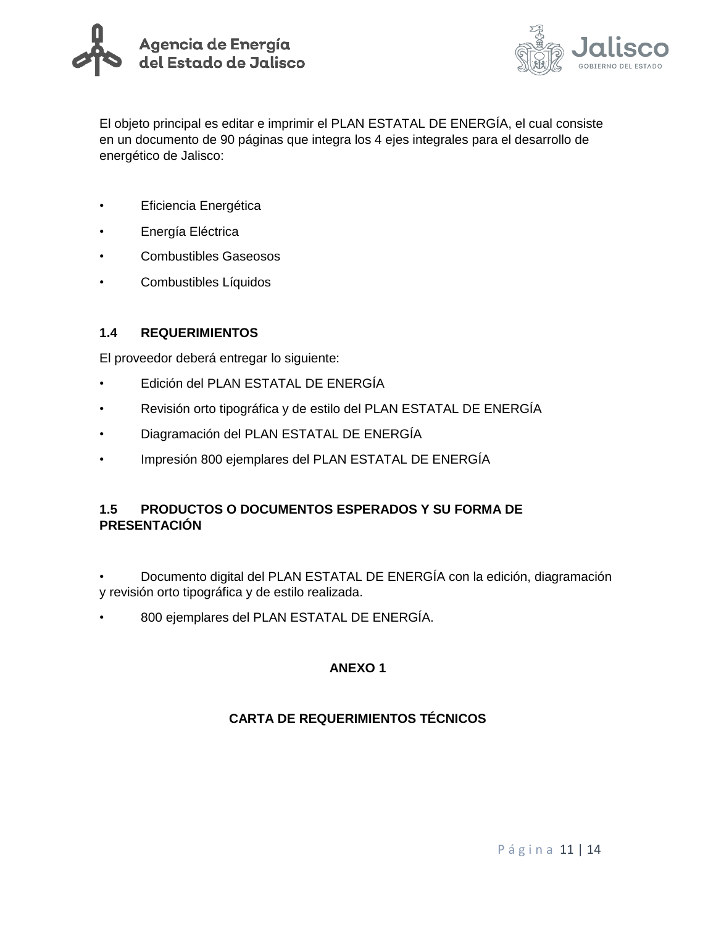



El objeto principal es editar e imprimir el PLAN ESTATAL DE ENERGÍA, el cual consiste en un documento de 90 páginas que integra los 4 ejes integrales para el desarrollo de energético de Jalisco:

- Eficiencia Energética
- Energía Eléctrica
- Combustibles Gaseosos
- Combustibles Líquidos

#### **1.4 REQUERIMIENTOS**

El proveedor deberá entregar lo siguiente:

- Edición del PLAN ESTATAL DE ENERGÍA
- Revisión orto tipográfica y de estilo del PLAN ESTATAL DE ENERGÍA
- Diagramación del PLAN ESTATAL DE ENERGÍA
- Impresión 800 ejemplares del PLAN ESTATAL DE ENERGÍA

## **1.5 PRODUCTOS O DOCUMENTOS ESPERADOS Y SU FORMA DE PRESENTACIÓN**

• Documento digital del PLAN ESTATAL DE ENERGÍA con la edición, diagramación y revisión orto tipográfica y de estilo realizada.

• 800 ejemplares del PLAN ESTATAL DE ENERGÍA.

## **ANEXO 1**

## **CARTA DE REQUERIMIENTOS TÉCNICOS**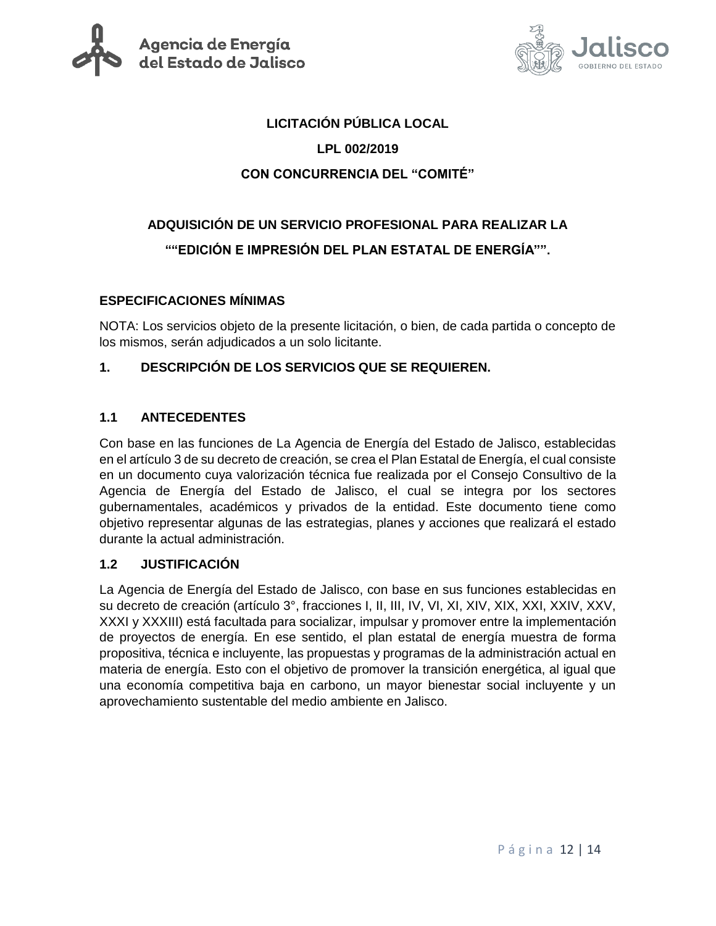



#### **LICITACIÓN PÚBLICA LOCAL**

## **LPL 002/2019**

## **CON CONCURRENCIA DEL "COMITÉ"**

# **ADQUISICIÓN DE UN SERVICIO PROFESIONAL PARA REALIZAR LA ""EDICIÓN E IMPRESIÓN DEL PLAN ESTATAL DE ENERGÍA"".**

## **ESPECIFICACIONES MÍNIMAS**

NOTA: Los servicios objeto de la presente licitación, o bien, de cada partida o concepto de los mismos, serán adjudicados a un solo licitante.

## **1. DESCRIPCIÓN DE LOS SERVICIOS QUE SE REQUIEREN.**

## **1.1 ANTECEDENTES**

Con base en las funciones de La Agencia de Energía del Estado de Jalisco, establecidas en el artículo 3 de su decreto de creación, se crea el Plan Estatal de Energía, el cual consiste en un documento cuya valorización técnica fue realizada por el Consejo Consultivo de la Agencia de Energía del Estado de Jalisco, el cual se integra por los sectores gubernamentales, académicos y privados de la entidad. Este documento tiene como objetivo representar algunas de las estrategias, planes y acciones que realizará el estado durante la actual administración.

#### **1.2 JUSTIFICACIÓN**

La Agencia de Energía del Estado de Jalisco, con base en sus funciones establecidas en su decreto de creación (artículo 3°, fracciones I, II, III, IV, VI, XI, XIV, XIX, XXI, XXIV, XXV, XXXI y XXXIII) está facultada para socializar, impulsar y promover entre la implementación de proyectos de energía. En ese sentido, el plan estatal de energía muestra de forma propositiva, técnica e incluyente, las propuestas y programas de la administración actual en materia de energía. Esto con el objetivo de promover la transición energética, al igual que una economía competitiva baja en carbono, un mayor bienestar social incluyente y un aprovechamiento sustentable del medio ambiente en Jalisco.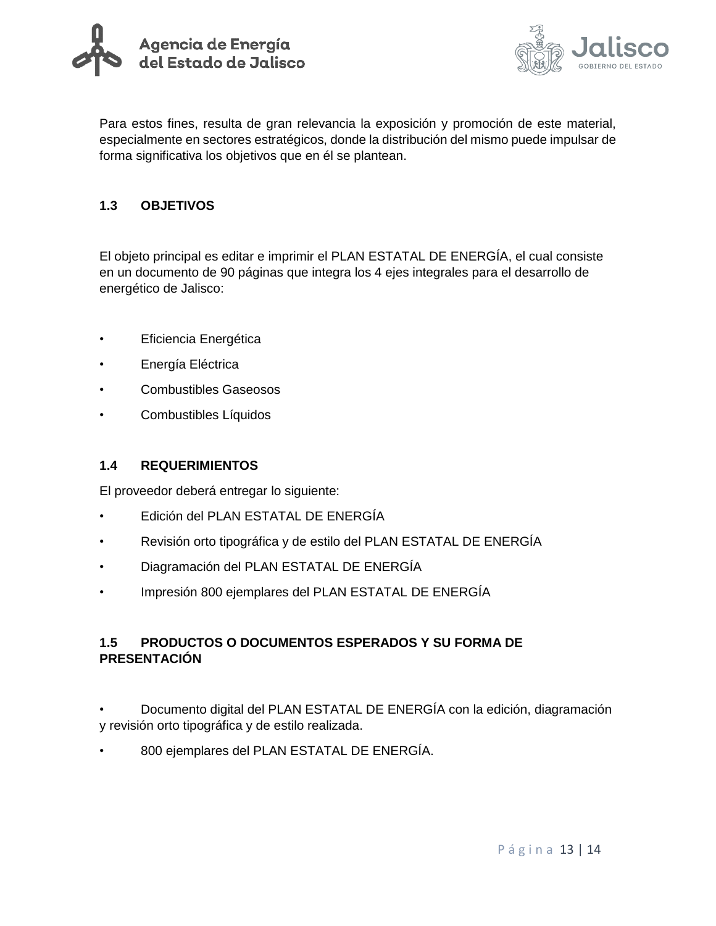



Para estos fines, resulta de gran relevancia la exposición y promoción de este material, especialmente en sectores estratégicos, donde la distribución del mismo puede impulsar de forma significativa los objetivos que en él se plantean.

## **1.3 OBJETIVOS**

El objeto principal es editar e imprimir el PLAN ESTATAL DE ENERGÍA, el cual consiste en un documento de 90 páginas que integra los 4 ejes integrales para el desarrollo de energético de Jalisco:

- Eficiencia Energética
- Energía Eléctrica
- Combustibles Gaseosos
- Combustibles Líquidos

#### **1.4 REQUERIMIENTOS**

El proveedor deberá entregar lo siguiente:

- Edición del PLAN ESTATAL DE ENERGÍA
- Revisión orto tipográfica y de estilo del PLAN ESTATAL DE ENERGÍA
- Diagramación del PLAN ESTATAL DE ENERGÍA
- Impresión 800 ejemplares del PLAN ESTATAL DE ENERGÍA

## **1.5 PRODUCTOS O DOCUMENTOS ESPERADOS Y SU FORMA DE PRESENTACIÓN**

- Documento digital del PLAN ESTATAL DE ENERGÍA con la edición, diagramación y revisión orto tipográfica y de estilo realizada.
- 800 ejemplares del PLAN ESTATAL DE ENERGÍA.